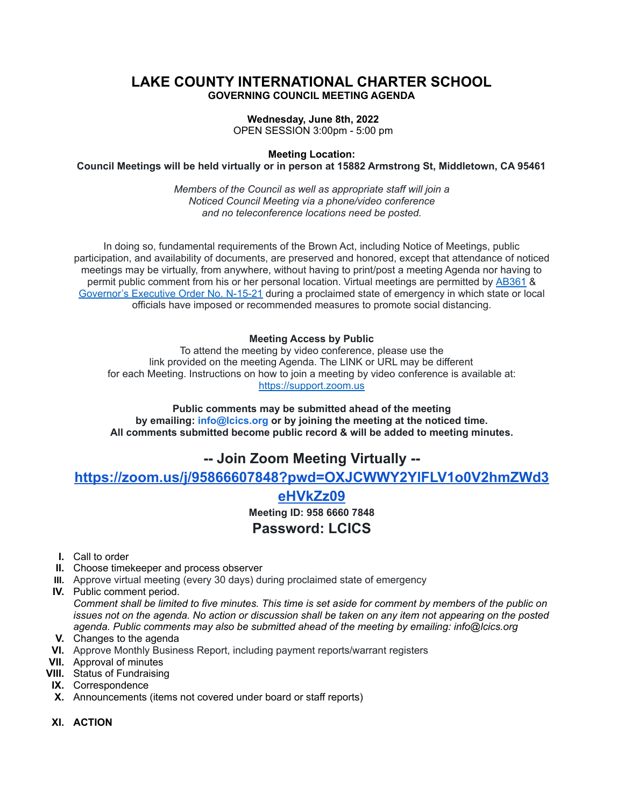### **LAKE COUNTY INTERNATIONAL CHARTER SCHOOL GOVERNING COUNCIL MEETING AGENDA**

#### **Wednesday, June 8th, 2022**

OPEN SESSION 3:00pm - 5:00 pm

**Meeting Location:**

**Council Meetings will be held virtually or in person at 15882 Armstrong St, Middletown, CA 95461**

*Members of the Council as well as appropriate staff will join a Noticed Council Meeting via a phone/video conference and no teleconference locations need be posted.*

In doing so, fundamental requirements of the Brown Act, including Notice of Meetings, public participation, and availability of documents, are preserved and honored, except that attendance of noticed meetings may be virtually, from anywhere, without having to print/post a meeting Agenda nor having to permit public comment from his or her personal location. Virtual meetings are permitted by [AB361](https://leginfo.legislature.ca.gov/faces/billTextClient.xhtml?bill_id=202120220AB361) & [Governor's](https://www.gov.ca.gov/wp-content/uploads/2021/09/9.20.21-executive-order.pdf) Executive Order No. N-15-21 during a proclaimed state of emergency in which state or local officials have imposed or recommended measures to promote social distancing.

#### **Meeting Access by Public**

To attend the meeting by video conference, please use the link provided on the meeting Agenda. The LINK or URL may be different for each Meeting. Instructions on how to join a meeting by video conference is available at: [https://support.zoom.us](https://support.zoom.us/)

**Public comments may be submitted ahead of the meeting by emailing: info@lcics.org or by joining the meeting at the noticed time. All comments submitted become public record & will be added to meeting minutes.**

## **-- Join Zoom Meeting Virtually --**

**[https://zoom.us/j/95866607848?pwd=OXJCWWY2YlFLV1o0V2hmZWd3](https://zoom.us/j/95866607848?pwd=OXJCWWY2YlFLV1o0V2hmZWd3eHVkZz09)**

# **[eHVkZz09](https://zoom.us/j/95866607848?pwd=OXJCWWY2YlFLV1o0V2hmZWd3eHVkZz09)**

**Meeting ID: 958 6660 7848**

## **Password: LCICS**

- **I.** Call to order
- **II.** Choose timekeeper and process observer
- **III.** Approve virtual meeting (every 30 days) during proclaimed state of emergency
- **IV.** Public comment period.

Comment shall be limited to five minutes. This time is set aside for comment by members of the public on issues not on the agenda. No action or discussion shall be taken on any item not appearing on the posted *agenda. Public comments may also be submitted ahead of the meeting by emailing: info@lcics.org*

- **V.** Changes to the agenda
- **VI.** Approve Monthly Business Report, including payment reports/warrant registers
- **VII.** Approval of minutes
- **VIII.** Status of Fundraising
- **IX.** Correspondence
- **X.** Announcements (items not covered under board or staff reports)
- **XI. ACTION**